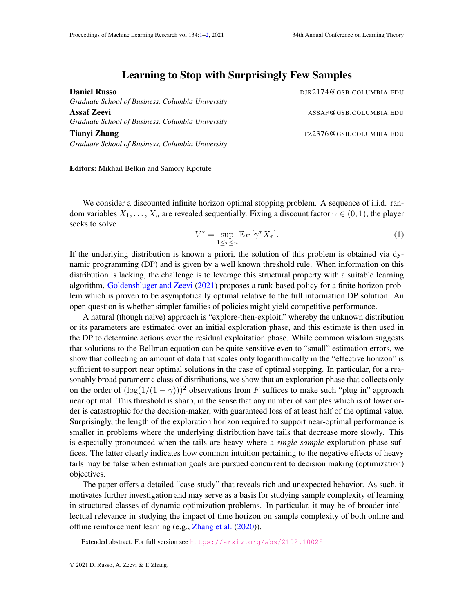## Learning to Stop with Surprisingly Few Samples

<span id="page-0-0"></span>

| DJR2174@GSB.COLUMBIA.EDU |
|--------------------------|
|                          |
| ASSAF@GSB.COLUMBIA.EDU   |
|                          |
| TZ2376@GSB.COLUMBIA.EDU  |
|                          |
|                          |

Editors: Mikhail Belkin and Samory Kpotufe

We consider a discounted infinite horizon optimal stopping problem. A sequence of i.i.d. random variables  $X_1, \ldots, X_n$  are revealed sequentially. Fixing a discount factor  $\gamma \in (0,1)$ , the player seeks to solve

$$
V^* = \sup_{1 \le \tau \le n} \mathbb{E}_F \left[ \gamma^\tau X_\tau \right]. \tag{1}
$$

If the underlying distribution is known a priori, the solution of this problem is obtained via dynamic programming (DP) and is given by a well known threshold rule. When information on this distribution is lacking, the challenge is to leverage this structural property with a suitable learning algorithm. [Goldenshluger and Zeevi](#page-1-1) [\(2021\)](#page-1-1) proposes a rank-based policy for a finite horizon problem which is proven to be asymptotically optimal relative to the full information DP solution. An open question is whether simpler families of policies might yield competitive performance.

A natural (though naive) approach is "explore-then-exploit," whereby the unknown distribution or its parameters are estimated over an initial exploration phase, and this estimate is then used in the DP to determine actions over the residual exploitation phase. While common wisdom suggests that solutions to the Bellman equation can be quite sensitive even to "small" estimation errors, we show that collecting an amount of data that scales only logarithmically in the "effective horizon" is sufficient to support near optimal solutions in the case of optimal stopping. In particular, for a reasonably broad parametric class of distributions, we show that an exploration phase that collects only on the order of  $(\log(1/(1 - \gamma)))^2$  observations from F suffices to make such "plug in" approach near optimal. This threshold is sharp, in the sense that any number of samples which is of lower order is catastrophic for the decision-maker, with guaranteed loss of at least half of the optimal value. Surprisingly, the length of the exploration horizon required to support near-optimal performance is smaller in problems where the underlying distribution have tails that decrease more slowly. This is especially pronounced when the tails are heavy where a *single sample* exploration phase suffices. The latter clearly indicates how common intuition pertaining to the negative effects of heavy tails may be false when estimation goals are pursued concurrent to decision making (optimization) objectives.

The paper offers a detailed "case-study" that reveals rich and unexpected behavior. As such, it motivates further investigation and may serve as a basis for studying sample complexity of learning in structured classes of dynamic optimization problems. In particular, it may be of broader intellectual relevance in studying the impact of time horizon on sample complexity of both online and offline reinforcement learning (e.g., [Zhang et al.](#page-1-2) [\(2020\)](#page-1-2)).

<sup>.</sup> Extended abstract. For full version see <https://arxiv.org/abs/2102.10025>